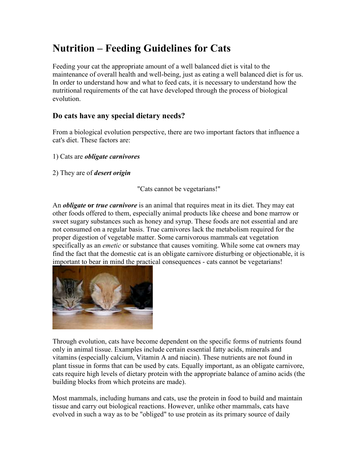# **Nutrition – Feeding Guidelines for Cats**

Feeding your cat the appropriate amount of a well balanced diet is vital to the maintenance of overall health and well-being, just as eating a well balanced diet is for us. In order to understand how and what to feed cats, it is necessary to understand how the nutritional requirements of the cat have developed through the process of biological evolution.

#### **Do cats have any special dietary needs?**

From a biological evolution perspective, there are two important factors that influence a cat's diet. These factors are:

- 1) Cats are *obligate carnivores*
- 2) They are of *desert origin*

"Cats cannot be vegetarians!"

An *obligate* **or** *true carnivore* is an animal that requires meat in its diet. They may eat other foods offered to them, especially animal products like cheese and bone marrow or sweet sugary substances such as honey and syrup. These foods are not essential and are not consumed on a regular basis. True carnivores lack the metabolism required for the proper digestion of vegetable matter. Some carnivorous mammals eat vegetation specifically as an *emetic* or substance that causes vomiting. While some cat owners may find the fact that the domestic cat is an obligate carnivore disturbing or objectionable, it is important to bear in mind the practical consequences - cats cannot be vegetarians!



Through evolution, cats have become dependent on the specific forms of nutrients found only in animal tissue. Examples include certain essential fatty acids, minerals and vitamins (especially calcium, Vitamin A and niacin). These nutrients are not found in plant tissue in forms that can be used by cats. Equally important, as an obligate carnivore, cats require high levels of dietary protein with the appropriate balance of amino acids (the building blocks from which proteins are made).

Most mammals, including humans and cats, use the protein in food to build and maintain tissue and carry out biological reactions. However, unlike other mammals, cats have evolved in such a way as to be "obliged" to use protein as its primary source of daily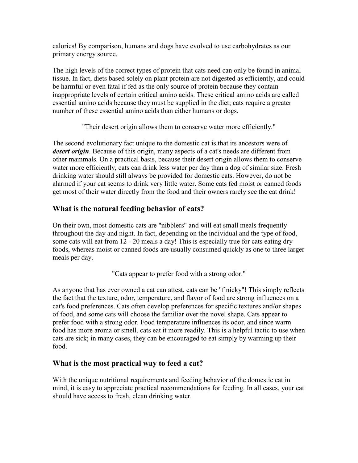calories! By comparison, humans and dogs have evolved to use carbohydrates as our primary energy source.

The high levels of the correct types of protein that cats need can only be found in animal tissue. In fact, diets based solely on plant protein are not digested as efficiently, and could be harmful or even fatal if fed as the only source of protein because they contain inappropriate levels of certain critical amino acids. These critical amino acids are called essential amino acids because they must be supplied in the diet; cats require a greater number of these essential amino acids than either humans or dogs.

"Their desert origin allows them to conserve water more efficiently."

The second evolutionary fact unique to the domestic cat is that its ancestors were of *desert origin*. Because of this origin, many aspects of a cat's needs are different from other mammals. On a practical basis, because their desert origin allows them to conserve water more efficiently, cats can drink less water per day than a dog of similar size. Fresh drinking water should still always be provided for domestic cats. However, do not be alarmed if your cat seems to drink very little water. Some cats fed moist or canned foods get most of their water directly from the food and their owners rarely see the cat drink!

## **What is the natural feeding behavior of cats?**

On their own, most domestic cats are "nibblers" and will eat small meals frequently throughout the day and night. In fact, depending on the individual and the type of food, some cats will eat from 12 - 20 meals a day! This is especially true for cats eating dry foods, whereas moist or canned foods are usually consumed quickly as one to three larger meals per day.

"Cats appear to prefer food with a strong odor."

As anyone that has ever owned a cat can attest, cats can be "finicky"! This simply reflects the fact that the texture, odor, temperature, and flavor of food are strong influences on a cat's food preferences. Cats often develop preferences for specific textures and/or shapes of food, and some cats will choose the familiar over the novel shape. Cats appear to prefer food with a strong odor. Food temperature influences its odor, and since warm food has more aroma or smell, cats eat it more readily. This is a helpful tactic to use when cats are sick; in many cases, they can be encouraged to eat simply by warming up their food.

## **What is the most practical way to feed a cat?**

With the unique nutritional requirements and feeding behavior of the domestic cat in mind, it is easy to appreciate practical recommendations for feeding. In all cases, your cat should have access to fresh, clean drinking water.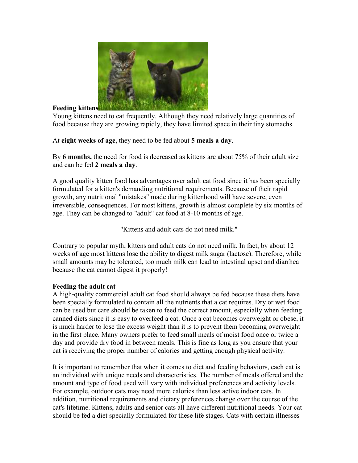

#### **Feeding kittens**

Young kittens need to eat frequently. Although they need relatively large quantities of food because they are growing rapidly, they have limited space in their tiny stomachs.

At **eight weeks of age,** they need to be fed about **5 meals a day**.

By **6 months,** the need for food is decreased as kittens are about 75% of their adult size and can be fed **2 meals a day**.

A good quality kitten food has advantages over adult cat food since it has been specially formulated for a kitten's demanding nutritional requirements. Because of their rapid growth, any nutritional "mistakes" made during kittenhood will have severe, even irreversible, consequences. For most kittens, growth is almost complete by six months of age. They can be changed to "adult" cat food at 8-10 months of age.

"Kittens and adult cats do not need milk."

Contrary to popular myth, kittens and adult cats do not need milk. In fact, by about 12 weeks of age most kittens lose the ability to digest milk sugar (lactose). Therefore, while small amounts may be tolerated, too much milk can lead to intestinal upset and diarrhea because the cat cannot digest it properly!

#### **Feeding the adult cat**

A high-quality commercial adult cat food should always be fed because these diets have been specially formulated to contain all the nutrients that a cat requires. Dry or wet food can be used but care should be taken to feed the correct amount, especially when feeding canned diets since it is easy to overfeed a cat. Once a cat becomes overweight or obese, it is much harder to lose the excess weight than it is to prevent them becoming overweight in the first place. Many owners prefer to feed small meals of moist food once or twice a day and provide dry food in between meals. This is fine as long as you ensure that your cat is receiving the proper number of calories and getting enough physical activity.

It is important to remember that when it comes to diet and feeding behaviors, each cat is an individual with unique needs and characteristics. The number of meals offered and the amount and type of food used will vary with individual preferences and activity levels. For example, outdoor cats may need more calories than less active indoor cats. In addition, nutritional requirements and dietary preferences change over the course of the cat's lifetime. Kittens, adults and senior cats all have different nutritional needs. Your cat should be fed a diet specially formulated for these life stages. Cats with certain illnesses